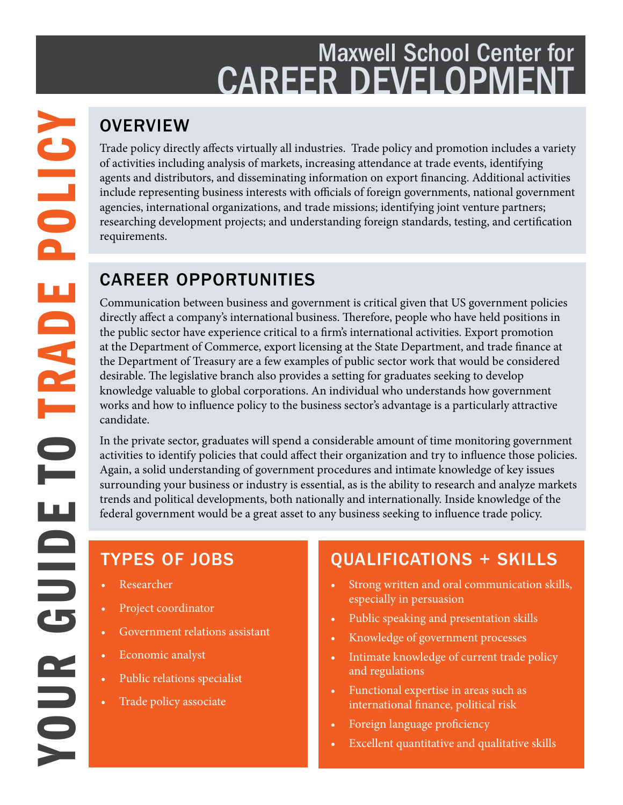## Maxwell School Center for **CAREER DEVELOPMEN**

Trade policy directly affects virtually all industries. Trade policy and promotion includes a variety of activities including analysis of markets, increasing attendance at trade events, identifying agents and distributors, and disseminating information on export financing. Additional activities include representing business interests with officials of foreign governments, national government agencies, international organizations, and trade missions; identifying joint venture partners; researching development projects; and understanding foreign standards, testing, and certification requirements.

### CAREER OPPORTUNITIES

Communication between business and government is critical given that US government policies directly affect a company's international business. Therefore, people who have held positions in the public sector have experience critical to a firm's international activities. Export promotion at the Department of Commerce, export licensing at the State Department, and trade finance at the Department of Treasury are a few examples of public sector work that would be considered desirable. The legislative branch also provides a setting for graduates seeking to develop knowledge valuable to global corporations. An individual who understands how government works and how to influence policy to the business sector's advantage is a particularly attractive candidate.

In the private sector, graduates will spend a considerable amount of time monitoring government activities to identify policies that could affect their organization and try to influence those policies. Again, a solid understanding of government procedures and intimate knowledge of key issues surrounding your business or industry is essential, as is the ability to research and analyze markets trends and political developments, both nationally and internationally. Inside knowledge of the federal government would be a great asset to any business seeking to influence trade policy.

### TYPES OF JOBS

- Researcher
- Project coordinator
- Government relations assistant
- Economic analyst
- Public relations specialist
- Trade policy associate

### QUALIFICATIONS + SKILLS

- Strong written and oral communication skills, especially in persuasion
- Public speaking and presentation skills
- Knowledge of government processes
- Intimate knowledge of current trade policy and regulations
- Functional expertise in areas such as international finance, political risk
- Foreign language proficiency
- Excellent quantitative and qualitative skills